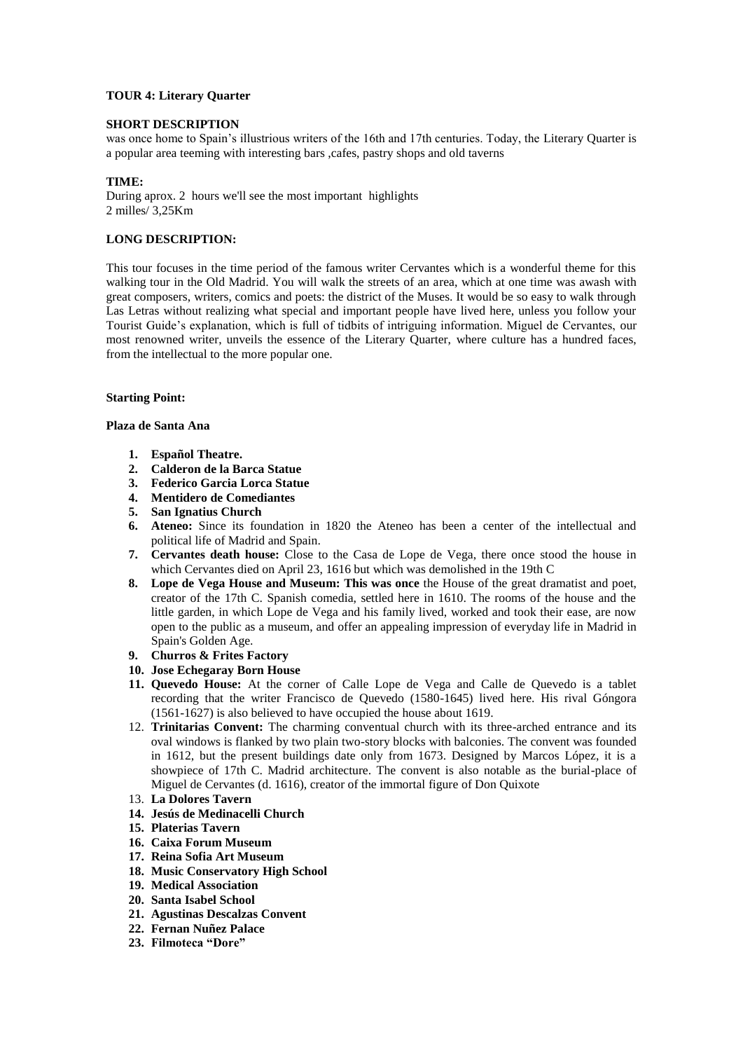## **TOUR 4: Literary Quarter**

### **SHORT DESCRIPTION**

was once home to Spain's illustrious writers of the 16th and 17th centuries. Today, the Literary Quarter is a popular area teeming with interesting bars ,cafes, pastry shops and old taverns

### **TIME:**

During aprox. 2 hours we'll see the most important highlights 2 milles/ 3,25Km

# **LONG DESCRIPTION:**

This tour focuses in the time period of the famous writer Cervantes which is a wonderful theme for this walking tour in the Old Madrid. You will walk the streets of an area, which at one time was awash with great composers, writers, comics and poets: the district of the Muses. It would be so easy to walk through Las Letras without realizing what special and important people have lived here, unless you follow your Tourist Guide's explanation, which is full of tidbits of intriguing information. Miguel de Cervantes, our most renowned writer, unveils the essence of the Literary Quarter, where culture has a hundred faces, from the intellectual to the more popular one.

## **Starting Point:**

#### **Plaza de Santa Ana**

- **1. Español Theatre.**
- **2. Calderon de la Barca Statue**
- **3. Federico Garcia Lorca Statue**
- **4. Mentidero de Comediantes**
- **5. San Ignatius Church**
- **6. Ateneo:** Since its foundation in 1820 the Ateneo has been a center of the intellectual and political life of Madrid and Spain.
- **7. Cervantes death house:** Close to the Casa de Lope de Vega, there once stood the house in which Cervantes died on April 23, 1616 but which was demolished in the 19th C
- **8. Lope de Vega House and Museum: This was once** the House of the great dramatist and poet, creator of the 17th C. Spanish comedia, settled here in 1610. The rooms of the house and the little garden, in which Lope de Vega and his family lived, worked and took their ease, are now open to the public as a museum, and offer an appealing impression of everyday life in Madrid in Spain's Golden Age.
- **9. Churros & Frites Factory**
- **10. Jose Echegaray Born House**
- **11. Quevedo House:** At the corner of Calle Lope de Vega and Calle de Quevedo is a tablet recording that the writer Francisco de Quevedo (1580-1645) lived here. His rival Góngora (1561-1627) is also believed to have occupied the house about 1619.
- 12. **Trinitarias Convent:** The charming conventual church with its three-arched entrance and its oval windows is flanked by two plain two-story blocks with balconies. The convent was founded in 1612, but the present buildings date only from 1673. Designed by Marcos López, it is a showpiece of 17th C. Madrid architecture. The convent is also notable as the burial-place of Miguel de Cervantes (d. 1616), creator of the immortal figure of Don Quixote
- 13. **La Dolores Tavern**
- **14. Jesús de Medinacelli Church**
- **15. Platerias Tavern**
- **16. Caixa Forum Museum**
- **17. Reina Sofia Art Museum**
- **18. Music Conservatory High School**
- **19. Medical Association**
- **20. Santa Isabel School**
- **21. Agustinas Descalzas Convent**
- **22. Fernan Nuñez Palace**
- **23. Filmoteca "Dore"**